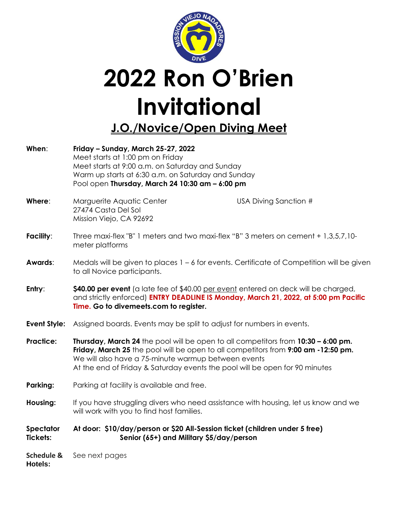

## **2022 Ron O'Brien Invitational J.O./Novice/Open Diving Meet**

**When**: **Friday – Sunday, March 25-27, 2022** Meet starts at 1:00 pm on Friday Meet starts at 9:00 a.m. on Saturday and Sunday Warm up starts at 6:30 a.m. on Saturday and Sunday Pool open **Thursday, March 24 10:30 am – 6:00 pm Where:** Marguerite Aquatic Center **Network** USA Diving Sanction # 27474 Casta Del Sol Mission Viejo, CA 92692 **Facility**: Three maxi-flex "B" 1 meters and two maxi-flex "B" 3 meters on cement + 1,3,5,7,10 meter platforms **Awards:** Medals will be given to places 1 – 6 for events. Certificate of Competition will be given to all Novice participants. **Entry:** \$40.00 per event (a late fee of \$40.00 per event entered on deck will be charged, and strictly enforced) **ENTRY DEADLINE IS Monday, March 21, 2022, at 5:00 pm Pacific Time. Go to divemeets.com to register. Event Style:** Assigned boards. Events may be split to adjust for numbers in events. **Practice: Thursday, March 24** the pool will be open to all competitors from **10:30 – 6:00 pm. Friday, March 25** the pool will be open to all competitors from **9:00 am -12:50 pm.** We will also have a 75-minute warmup between events At the end of Friday & Saturday events the pool will be open for 90 minutes **Parking:** Parking at facility is available and free. **Housing:** If you have struggling divers who need assistance with housing, let us know and we will work with you to find host families. **Spectator At door: \$10/day/person or \$20 All-Session ticket (children under 5 free) Tickets: Senior (65+) and Military \$5/day/person Schedule &** See next pages **Hotels:**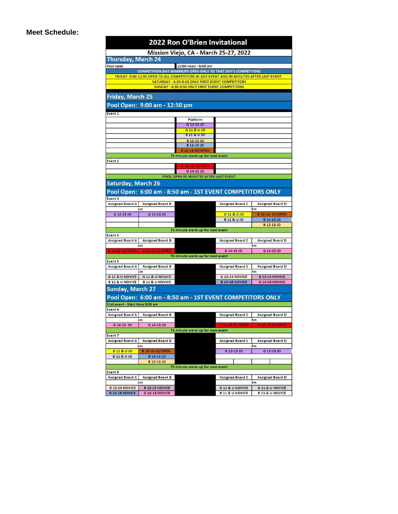## **Meet Schedule:**

| <b>2022 Ron O'Brien Invitational</b>                                                                                                         |                                             |                                       |                                                        |                                                        |
|----------------------------------------------------------------------------------------------------------------------------------------------|---------------------------------------------|---------------------------------------|--------------------------------------------------------|--------------------------------------------------------|
| Mission Viejo, CA - March 25-27, 2022                                                                                                        |                                             |                                       |                                                        |                                                        |
| <b>Thursday, March 24</b>                                                                                                                    |                                             |                                       |                                                        |                                                        |
| 12:00 noon - 6:00 pm<br>Pool open                                                                                                            |                                             |                                       |                                                        |                                                        |
| <b>COMPETITION DAY WARMUPS OPEN ONLY TO THAT DAY'S COMPETITORS</b>                                                                           |                                             |                                       |                                                        |                                                        |
| FRIDAY- 9:00-12:50 OPEN TO ALL COMPETITORS IN ANY EVENT AND 90 MINUTES AFTER LAST EVENT<br>SATURDAY - 6:30-8:50 ONLY FIRST EVENT COMPETITORS |                                             |                                       |                                                        |                                                        |
| <b>SUNDAY - 6:30-8:50 ONLY FIRST EVENT COMPETITORS</b>                                                                                       |                                             |                                       |                                                        |                                                        |
|                                                                                                                                              |                                             |                                       |                                                        |                                                        |
| <b>Friday, March 25</b>                                                                                                                      |                                             |                                       |                                                        |                                                        |
| Pool Open: 9:00 am - 12:50 pm                                                                                                                |                                             |                                       |                                                        |                                                        |
| Event 1                                                                                                                                      |                                             |                                       |                                                        |                                                        |
|                                                                                                                                              |                                             | Platform                              |                                                        |                                                        |
|                                                                                                                                              |                                             | G 12-13 JO                            |                                                        |                                                        |
|                                                                                                                                              |                                             | G11&UJO<br><b>B11&amp;UJO</b>         |                                                        |                                                        |
|                                                                                                                                              |                                             | B 12-13 JO                            |                                                        |                                                        |
|                                                                                                                                              |                                             | B 14-15 JO                            |                                                        |                                                        |
| <b>B 16-18 JO/OPEN</b>                                                                                                                       |                                             |                                       |                                                        |                                                        |
| 75 minute warm up for next event<br>Event 2                                                                                                  |                                             |                                       |                                                        |                                                        |
|                                                                                                                                              |                                             | G 16-18 JO/OPEN                       |                                                        |                                                        |
|                                                                                                                                              |                                             | G 14-15 JO                            |                                                        |                                                        |
|                                                                                                                                              |                                             | POOL OPEN 90 MINUTES AFTER LAST EVENT |                                                        |                                                        |
| <b>Saturday, March 26</b>                                                                                                                    |                                             |                                       |                                                        |                                                        |
| Pool Open: 6:00 am - 8:50 am - 1ST EVENT COMPETITORS ONLY                                                                                    |                                             |                                       |                                                        |                                                        |
| <b>Event 3</b>                                                                                                                               |                                             |                                       |                                                        |                                                        |
| <b>Assigned Board A</b>                                                                                                                      | <b>Assigned Board B</b>                     |                                       | <b>Assigned Board C</b>                                | <b>Assigned Board D</b>                                |
|                                                                                                                                              | 1 <sub>m</sub>                              |                                       |                                                        | 3m                                                     |
| G 12-13 JO                                                                                                                                   | G 12-13 JO                                  |                                       | G 11 & U JO                                            | <b>B 16-18 JO/OPEN</b>                                 |
|                                                                                                                                              |                                             |                                       | <b>B11&amp;UJO</b>                                     | B 14-15 JO<br>B 12-13 JO                               |
| 75 minute warm up for next event                                                                                                             |                                             |                                       |                                                        |                                                        |
| Event 4                                                                                                                                      |                                             |                                       |                                                        |                                                        |
| <b>Assigned Board A</b>                                                                                                                      | <b>Assigned Board B</b>                     |                                       | <b>Assigned Board C</b>                                | <b>Assigned Board D</b>                                |
| G 16-18 JO/OPEN                                                                                                                              | 1m<br>G 16-18 JO/OPEN                       |                                       | G 14-15 JO                                             | 3m<br>G 14-15 JO                                       |
|                                                                                                                                              |                                             | 75 minute warm up for next event      |                                                        |                                                        |
| Event 5                                                                                                                                      |                                             |                                       |                                                        |                                                        |
| <b>Assigned Board A</b>                                                                                                                      | <b>Assigned Board B</b>                     |                                       | <b>Assigned Board C</b>                                | <b>Assigned Board D</b>                                |
| G 11 & U NOVICE                                                                                                                              | 1 <sub>m</sub><br><b>G11 &amp; U NOVICE</b> |                                       | <b>G 12-13 NOVICE</b>                                  | 3m<br><b>B 12-13 NOVICE</b>                            |
| <b>B 11 &amp; U NOVICE</b>                                                                                                                   | <b>B 11 &amp; U NOVICE</b>                  |                                       | <b>B 14-18 NOVICE</b>                                  | <b>G 14-18 NOVICE</b>                                  |
| <b>Sunday, March 27</b>                                                                                                                      |                                             |                                       |                                                        |                                                        |
| Pool Open: 6:00 am - 8:50 am - 1ST EVENT COMPETITORS ONLY                                                                                    |                                             |                                       |                                                        |                                                        |
| First event - Start time 9:00 am                                                                                                             |                                             |                                       |                                                        |                                                        |
| Event <sub>6</sub>                                                                                                                           |                                             |                                       |                                                        |                                                        |
| Assigned Board A                                                                                                                             | <b>Assigned Board B</b>                     |                                       | Assigned Board C                                       | <b>Assigned Board D</b>                                |
|                                                                                                                                              | 1m                                          |                                       |                                                        | 3 <sub>m</sub>                                         |
| G 14-15 JO                                                                                                                                   | G 14-15 JO                                  |                                       | G 16-18 JO/OPEN                                        | G 16-18 JO/OPEN                                        |
| Event <sub>7</sub>                                                                                                                           |                                             | 75 minute warm up for next event      |                                                        |                                                        |
| <b>Assigned Board A</b>                                                                                                                      | <b>Assigned Board B</b>                     |                                       | <b>Assigned Board C</b>                                | <b>Assigned Board D</b>                                |
| 1m<br>3m                                                                                                                                     |                                             |                                       |                                                        |                                                        |
| G 11 & U JO                                                                                                                                  | <b>B 16-18 JO/OPEN</b>                      |                                       | G 12-13 JO                                             | G 12-13 JO                                             |
| <b>B11&amp;UJO</b>                                                                                                                           | B 14-15 JO<br>B 12-13 JO                    |                                       |                                                        |                                                        |
|                                                                                                                                              |                                             | 75 minute warm up for next event      |                                                        |                                                        |
| <b>Event 8</b>                                                                                                                               |                                             |                                       |                                                        |                                                        |
| <b>Assigned Board A</b>                                                                                                                      | <b>Assigned Board B</b>                     |                                       | <b>Assigned Board C</b>                                | <b>Assigned Board D</b>                                |
|                                                                                                                                              | 1 <sub>m</sub>                              |                                       |                                                        | 3 <sub>m</sub>                                         |
| <b>G 12-13 NOVICE</b><br><b>B 14-18 NOVICE</b>                                                                                               | <b>B 12-13 NOVICE</b><br>G 14-18 NOVICE     |                                       | <b>G11 &amp; U NOVICE</b><br><b>B11 &amp; U NOVICE</b> | <b>G11 &amp; U NOVICE</b><br><b>B11 &amp; U NOVICE</b> |
|                                                                                                                                              |                                             |                                       |                                                        |                                                        |